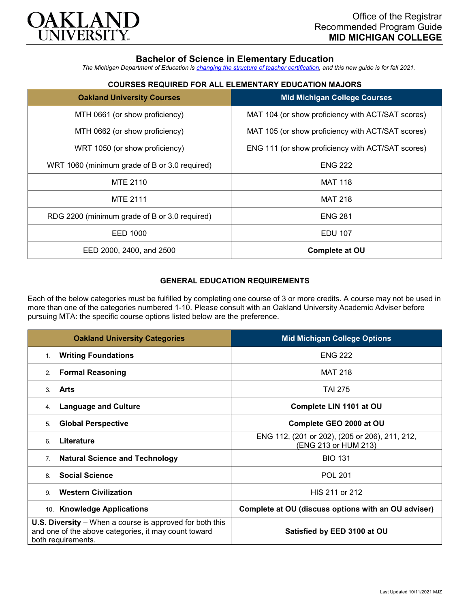

## **Bachelor of Science in Elementary Education**

*The Michigan Department of Education is [changing the structure of teacher certification,](https://docs.google.com/document/d/1W1uUK14Njx6WAB56T4jHbat65OZyg6TS04LdNWMXEcI/edit) and this new guide is for fall 2021.*

| <b>Oakland University Courses</b>             | <b>Mid Michigan College Courses</b>               |
|-----------------------------------------------|---------------------------------------------------|
| MTH 0661 (or show proficiency)                | MAT 104 (or show proficiency with ACT/SAT scores) |
| MTH 0662 (or show proficiency)                | MAT 105 (or show proficiency with ACT/SAT scores) |
| WRT 1050 (or show proficiency)                | ENG 111 (or show proficiency with ACT/SAT scores) |
| WRT 1060 (minimum grade of B or 3.0 required) | <b>ENG 222</b>                                    |
| <b>MTE 2110</b>                               | <b>MAT 118</b>                                    |
| <b>MTE 2111</b>                               | <b>MAT 218</b>                                    |
| RDG 2200 (minimum grade of B or 3.0 required) | <b>ENG 281</b>                                    |
| EED 1000                                      | <b>EDU 107</b>                                    |
| EED 2000, 2400, and 2500                      | Complete at OU                                    |

# **COURSES REQUIRED FOR ALL ELEMENTARY EDUCATION MAJORS**

## **GENERAL EDUCATION REQUIREMENTS**

Each of the below categories must be fulfilled by completing one course of 3 or more credits. A course may not be used in more than one of the categories numbered 1-10. Please consult with an Oakland University Academic Adviser before pursuing MTA: the specific course options listed below are the preference.

| <b>Oakland University Categories</b>                                                                                                          | <b>Mid Michigan College Options</b>                                    |
|-----------------------------------------------------------------------------------------------------------------------------------------------|------------------------------------------------------------------------|
| <b>Writing Foundations</b><br>1 <sub>1</sub>                                                                                                  | <b>ENG 222</b>                                                         |
| <b>Formal Reasoning</b><br>2.                                                                                                                 | <b>MAT 218</b>                                                         |
| Arts<br>3                                                                                                                                     | TAI 275                                                                |
| <b>Language and Culture</b><br>4.                                                                                                             | Complete LIN 1101 at OU                                                |
| <b>Global Perspective</b><br>5.                                                                                                               | Complete GEO 2000 at OU                                                |
| Literature<br>6                                                                                                                               | ENG 112, (201 or 202), (205 or 206), 211, 212,<br>(ENG 213 or HUM 213) |
| <b>Natural Science and Technology</b><br>7 <sub>1</sub>                                                                                       | <b>BIO 131</b>                                                         |
| <b>Social Science</b><br>8                                                                                                                    | <b>POL 201</b>                                                         |
| <b>Western Civilization</b><br>9.                                                                                                             | HIS 211 or 212                                                         |
| 10. Knowledge Applications                                                                                                                    | Complete at OU (discuss options with an OU adviser)                    |
| <b>U.S. Diversity</b> – When a course is approved for both this<br>and one of the above categories, it may count toward<br>both requirements. | Satisfied by EED 3100 at OU                                            |